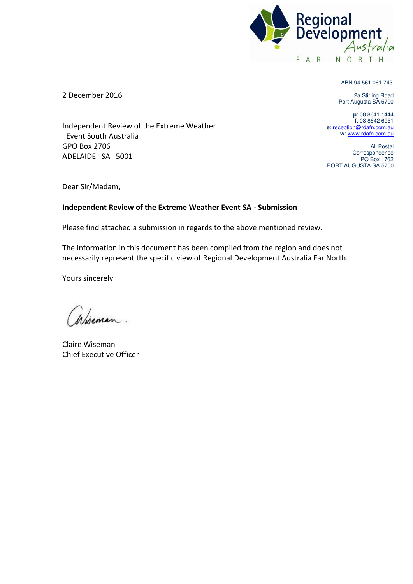

ABN 94 561 061 743

2a Stirling Road Port Augusta SA 5700

**p**: 08 8641 1444 **f**: 08 8642 6951 **e**[: reception@rdafn.com.au](mailto:reception@rdafn.com.au) **w**[: www.rdafn.com.au](http://www.rdafn.com.au/) 

All Postal Correspondence PO Box 1762 PORT AUGUSTA SA 5700

2 December 2016

 Event South Australia GPO Box 2706 ADELAIDE SA 5001

Independent Review of the Extreme Weather

Dear Sir/Madam,

#### **Independent Review of the Extreme Weather Event SA - Submission**

Please find attached a submission in regards to the above mentioned review.

The information in this document has been compiled from the region and does not necessarily represent the specific view of Regional Development Australia Far North.

Yours sincerely

Wiseman.

Claire Wiseman Chief Executive Officer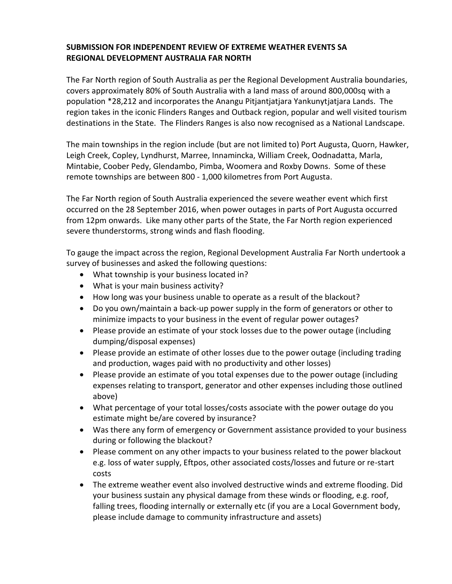#### **SUBMISSION FOR INDEPENDENT REVIEW OF EXTREME WEATHER EVENTS SA REGIONAL DEVELOPMENT AUSTRALIA FAR NORTH**

The Far North region of South Australia as per the Regional Development Australia boundaries, covers approximately 80% of South Australia with a land mass of around 800,000sq with a population \*28,212 and incorporates the Anangu Pitjantjatjara Yankunytjatjara Lands. The region takes in the iconic Flinders Ranges and Outback region, popular and well visited tourism destinations in the State. The Flinders Ranges is also now recognised as a National Landscape.

The main townships in the region include (but are not limited to) Port Augusta, Quorn, Hawker, Leigh Creek, Copley, Lyndhurst, Marree, Innamincka, William Creek, Oodnadatta, Marla, Mintabie, Coober Pedy, Glendambo, Pimba, Woomera and Roxby Downs. Some of these remote townships are between 800 - 1,000 kilometres from Port Augusta.

The Far North region of South Australia experienced the severe weather event which first occurred on the 28 September 2016, when power outages in parts of Port Augusta occurred from 12pm onwards. Like many other parts of the State, the Far North region experienced severe thunderstorms, strong winds and flash flooding.

To gauge the impact across the region, Regional Development Australia Far North undertook a survey of businesses and asked the following questions:

- What township is your business located in?
- What is your main business activity?
- How long was your business unable to operate as a result of the blackout?
- Do you own/maintain a back-up power supply in the form of generators or other to minimize impacts to your business in the event of regular power outages?
- Please provide an estimate of your stock losses due to the power outage (including dumping/disposal expenses)
- Please provide an estimate of other losses due to the power outage (including trading and production, wages paid with no productivity and other losses)
- Please provide an estimate of you total expenses due to the power outage (including expenses relating to transport, generator and other expenses including those outlined above)
- What percentage of your total losses/costs associate with the power outage do you estimate might be/are covered by insurance?
- Was there any form of emergency or Government assistance provided to your business during or following the blackout?
- Please comment on any other impacts to your business related to the power blackout e.g. loss of water supply, Eftpos, other associated costs/losses and future or re-start costs
- The extreme weather event also involved destructive winds and extreme flooding. Did your business sustain any physical damage from these winds or flooding, e.g. roof, falling trees, flooding internally or externally etc (if you are a Local Government body, please include damage to community infrastructure and assets)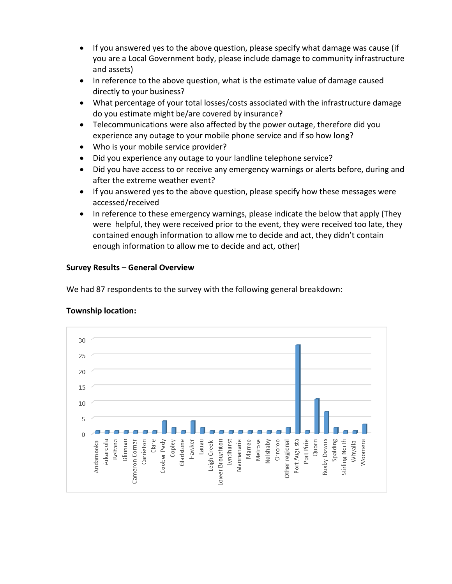- If you answered yes to the above question, please specify what damage was cause (if you are a Local Government body, please include damage to community infrastructure and assets)
- In reference to the above question, what is the estimate value of damage caused directly to your business?
- What percentage of your total losses/costs associated with the infrastructure damage do you estimate might be/are covered by insurance?
- Telecommunications were also affected by the power outage, therefore did you experience any outage to your mobile phone service and if so how long?
- Who is your mobile service provider?
- Did you experience any outage to your landline telephone service?
- Did you have access to or receive any emergency warnings or alerts before, during and after the extreme weather event?
- If you answered yes to the above question, please specify how these messages were accessed/received
- In reference to these emergency warnings, please indicate the below that apply (They were helpful, they were received prior to the event, they were received too late, they contained enough information to allow me to decide and act, they didn't contain enough information to allow me to decide and act, other)

### **Survey Results – General Overview**

We had 87 respondents to the survey with the following general breakdown:



### **Township location:**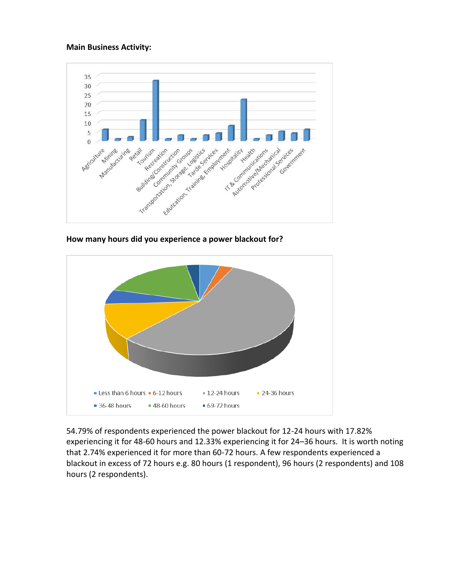#### **Main Business Activity:**



**How many hours did you experience a power blackout for?** 



54.79% of respondents experienced the power blackout for 12-24 hours with 17.82% experiencing it for 48-60 hours and 12.33% experiencing it for 24–36 hours. It is worth noting that 2.74% experienced it for more than 60-72 hours. A few respondents experienced a blackout in excess of 72 hours e.g. 80 hours (1 respondent), 96 hours (2 respondents) and 108 hours (2 respondents).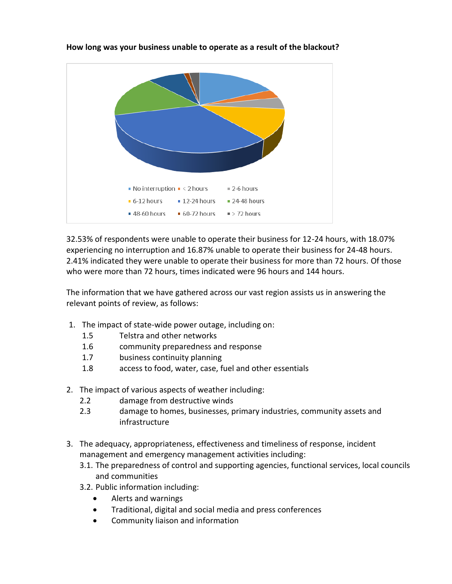

**How long was your business unable to operate as a result of the blackout?**

32.53% of respondents were unable to operate their business for 12-24 hours, with 18.07% experiencing no interruption and 16.87% unable to operate their business for 24-48 hours. 2.41% indicated they were unable to operate their business for more than 72 hours. Of those who were more than 72 hours, times indicated were 96 hours and 144 hours.

The information that we have gathered across our vast region assists us in answering the relevant points of review, as follows:

- 1. The impact of state-wide power outage, including on:
	- 1.5 Telstra and other networks
	- 1.6 community preparedness and response
	- 1.7 business continuity planning
	- 1.8 access to food, water, case, fuel and other essentials
- 2. The impact of various aspects of weather including:
	- 2.2 damage from destructive winds
	- 2.3 damage to homes, businesses, primary industries, community assets and infrastructure
- 3. The adequacy, appropriateness, effectiveness and timeliness of response, incident management and emergency management activities including:
	- 3.1. The preparedness of control and supporting agencies, functional services, local councils and communities
	- 3.2. Public information including:
		- Alerts and warnings
		- Traditional, digital and social media and press conferences
		- Community liaison and information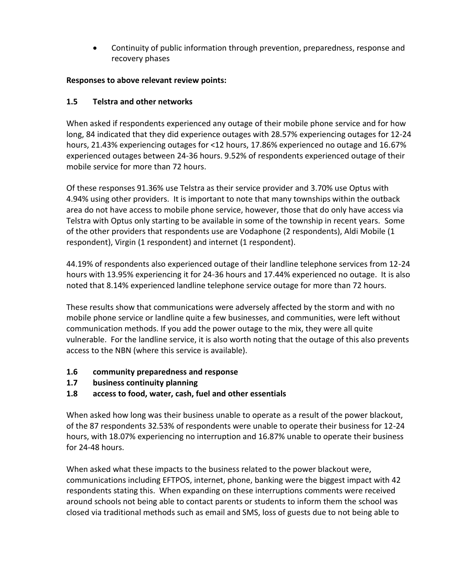Continuity of public information through prevention, preparedness, response and recovery phases

## **Responses to above relevant review points:**

## **1.5 Telstra and other networks**

When asked if respondents experienced any outage of their mobile phone service and for how long, 84 indicated that they did experience outages with 28.57% experiencing outages for 12-24 hours, 21.43% experiencing outages for <12 hours, 17.86% experienced no outage and 16.67% experienced outages between 24-36 hours. 9.52% of respondents experienced outage of their mobile service for more than 72 hours.

Of these responses 91.36% use Telstra as their service provider and 3.70% use Optus with 4.94% using other providers. It is important to note that many townships within the outback area do not have access to mobile phone service, however, those that do only have access via Telstra with Optus only starting to be available in some of the township in recent years. Some of the other providers that respondents use are Vodaphone (2 respondents), Aldi Mobile (1 respondent), Virgin (1 respondent) and internet (1 respondent).

44.19% of respondents also experienced outage of their landline telephone services from 12-24 hours with 13.95% experiencing it for 24-36 hours and 17.44% experienced no outage. It is also noted that 8.14% experienced landline telephone service outage for more than 72 hours.

These results show that communications were adversely affected by the storm and with no mobile phone service or landline quite a few businesses, and communities, were left without communication methods. If you add the power outage to the mix, they were all quite vulnerable. For the landline service, it is also worth noting that the outage of this also prevents access to the NBN (where this service is available).

- **1.6 community preparedness and response**
- **1.7 business continuity planning**
- **1.8 access to food, water, cash, fuel and other essentials**

When asked how long was their business unable to operate as a result of the power blackout, of the 87 respondents 32.53% of respondents were unable to operate their business for 12-24 hours, with 18.07% experiencing no interruption and 16.87% unable to operate their business for 24-48 hours.

When asked what these impacts to the business related to the power blackout were, communications including EFTPOS, internet, phone, banking were the biggest impact with 42 respondents stating this. When expanding on these interruptions comments were received around schools not being able to contact parents or students to inform them the school was closed via traditional methods such as email and SMS, loss of guests due to not being able to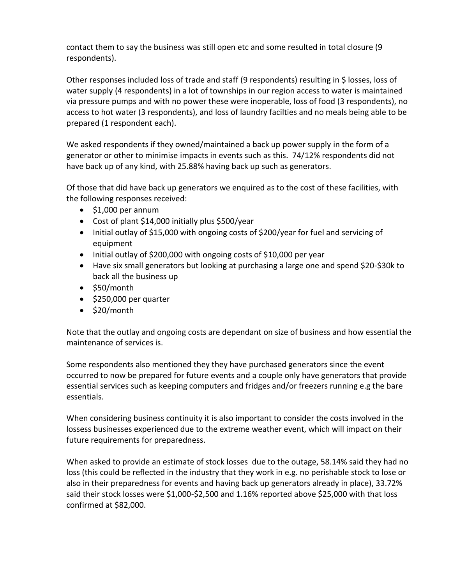contact them to say the business was still open etc and some resulted in total closure (9 respondents).

Other responses included loss of trade and staff (9 respondents) resulting in \$ losses, loss of water supply (4 respondents) in a lot of townships in our region access to water is maintained via pressure pumps and with no power these were inoperable, loss of food (3 respondents), no access to hot water (3 respondents), and loss of laundry facilties and no meals being able to be prepared (1 respondent each).

We asked respondents if they owned/maintained a back up power supply in the form of a generator or other to minimise impacts in events such as this. 74/12% respondents did not have back up of any kind, with 25.88% having back up such as generators.

Of those that did have back up generators we enquired as to the cost of these facilities, with the following responses received:

- $\bullet$  \$1,000 per annum
- Cost of plant \$14,000 initially plus \$500/year
- Initial outlay of \$15,000 with ongoing costs of \$200/year for fuel and servicing of equipment
- Initial outlay of \$200,000 with ongoing costs of \$10,000 per year
- Have six small generators but looking at purchasing a large one and spend \$20-\$30k to back all the business up
- $•$  \$50/month
- $\bullet$  \$250,000 per quarter
- $\bullet$  \$20/month

Note that the outlay and ongoing costs are dependant on size of business and how essential the maintenance of services is.

Some respondents also mentioned they they have purchased generators since the event occurred to now be prepared for future events and a couple only have generators that provide essential services such as keeping computers and fridges and/or freezers running e.g the bare essentials.

When considering business continuity it is also important to consider the costs involved in the lossess businesses experienced due to the extreme weather event, which will impact on their future requirements for preparedness.

When asked to provide an estimate of stock losses due to the outage, 58.14% said they had no loss (this could be reflected in the industry that they work in e.g. no perishable stock to lose or also in their preparedness for events and having back up generators already in place), 33.72% said their stock losses were \$1,000-\$2,500 and 1.16% reported above \$25,000 with that loss confirmed at \$82,000.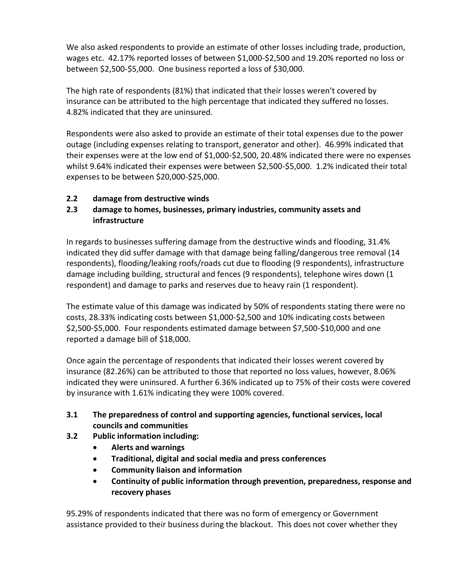We also asked respondents to provide an estimate of other losses including trade, production, wages etc. 42.17% reported losses of between \$1,000-\$2,500 and 19.20% reported no loss or between \$2,500-\$5,000. One business reported a loss of \$30,000.

The high rate of respondents (81%) that indicated that their losses weren't covered by insurance can be attributed to the high percentage that indicated they suffered no losses. 4.82% indicated that they are uninsured.

Respondents were also asked to provide an estimate of their total expenses due to the power outage (including expenses relating to transport, generator and other). 46.99% indicated that their expenses were at the low end of \$1,000-\$2,500, 20.48% indicated there were no expenses whilst 9.64% indicated their expenses were between \$2,500-\$5,000. 1.2% indicated their total expenses to be between \$20,000-\$25,000.

# **2.2 damage from destructive winds**

# **2.3 damage to homes, businesses, primary industries, community assets and infrastructure**

In regards to businesses suffering damage from the destructive winds and flooding, 31.4% indicated they did suffer damage with that damage being falling/dangerous tree removal (14 respondents), flooding/leaking roofs/roads cut due to flooding (9 respondents), infrastructure damage including building, structural and fences (9 respondents), telephone wires down (1 respondent) and damage to parks and reserves due to heavy rain (1 respondent).

The estimate value of this damage was indicated by 50% of respondents stating there were no costs, 28.33% indicating costs between \$1,000-\$2,500 and 10% indicating costs between \$2,500-\$5,000. Four respondents estimated damage between \$7,500-\$10,000 and one reported a damage bill of \$18,000.

Once again the percentage of respondents that indicated their losses werent covered by insurance (82.26%) can be attributed to those that reported no loss values, however, 8.06% indicated they were uninsured. A further 6.36% indicated up to 75% of their costs were covered by insurance with 1.61% indicating they were 100% covered.

- **3.1 The preparedness of control and supporting agencies, functional services, local councils and communities**
- **3.2 Public information including:** 
	- **Alerts and warnings**
	- **Traditional, digital and social media and press conferences**
	- **Community liaison and information**
	- **Continuity of public information through prevention, preparedness, response and recovery phases**

95.29% of respondents indicated that there was no form of emergency or Government assistance provided to their business during the blackout. This does not cover whether they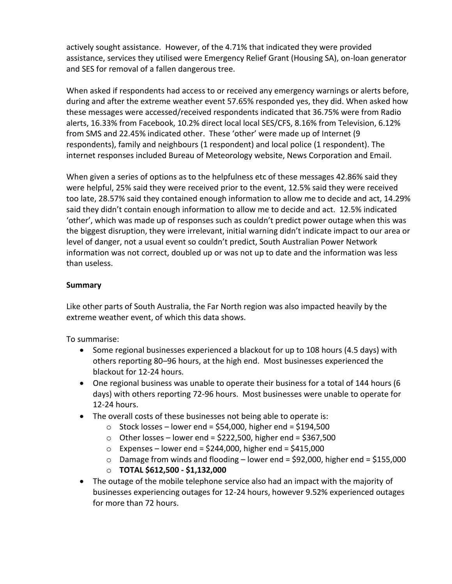actively sought assistance. However, of the 4.71% that indicated they were provided assistance, services they utilised were Emergency Relief Grant (Housing SA), on-loan generator and SES for removal of a fallen dangerous tree.

When asked if respondents had access to or received any emergency warnings or alerts before, during and after the extreme weather event 57.65% responded yes, they did. When asked how these messages were accessed/received respondents indicated that 36.75% were from Radio alerts, 16.33% from Facebook, 10.2% direct local local SES/CFS, 8.16% from Television, 6.12% from SMS and 22.45% indicated other. These 'other' were made up of Internet (9 respondents), family and neighbours (1 respondent) and local police (1 respondent). The internet responses included Bureau of Meteorology website, News Corporation and Email.

When given a series of options as to the helpfulness etc of these messages 42.86% said they were helpful, 25% said they were received prior to the event, 12.5% said they were received too late, 28.57% said they contained enough information to allow me to decide and act, 14.29% said they didn't contain enough information to allow me to decide and act. 12.5% indicated 'other', which was made up of responses such as couldn't predict power outage when this was the biggest disruption, they were irrelevant, initial warning didn't indicate impact to our area or level of danger, not a usual event so couldn't predict, South Australian Power Network information was not correct, doubled up or was not up to date and the information was less than useless.

### **Summary**

Like other parts of South Australia, the Far North region was also impacted heavily by the extreme weather event, of which this data shows.

To summarise:

- Some regional businesses experienced a blackout for up to 108 hours (4.5 days) with others reporting 80–96 hours, at the high end. Most businesses experienced the blackout for 12-24 hours.
- One regional business was unable to operate their business for a total of 144 hours (6 days) with others reporting 72-96 hours. Most businesses were unable to operate for 12-24 hours.
- The overall costs of these businesses not being able to operate is:
	- $\circ$  Stock losses lower end = \$54,000, higher end = \$194,500
	- $\circ$  Other losses lower end = \$222,500, higher end = \$367,500
	- $\circ$  Expenses lower end = \$244,000, higher end = \$415,000
	- $\circ$  Damage from winds and flooding lower end = \$92,000, higher end = \$155,000
	- o **TOTAL \$612,500 \$1,132,000**
- The outage of the mobile telephone service also had an impact with the majority of businesses experiencing outages for 12-24 hours, however 9.52% experienced outages for more than 72 hours.